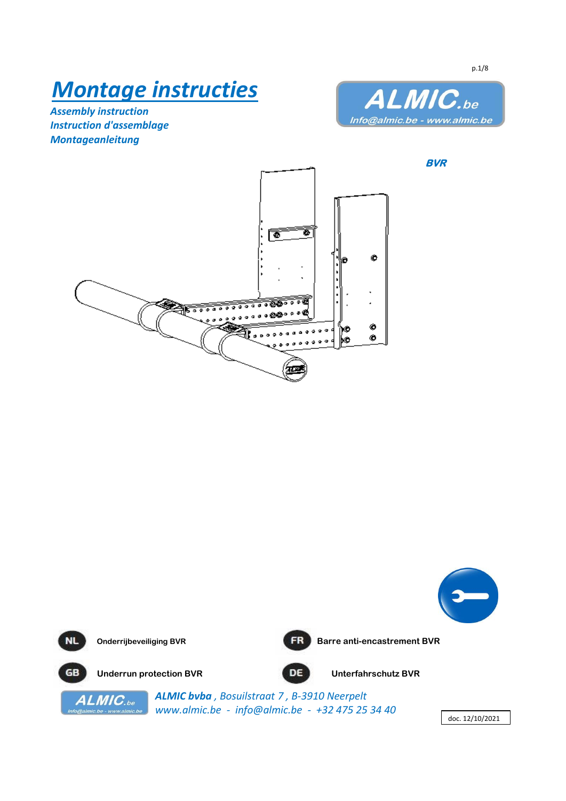# *Montage instructies*

*Assembly instruction Instruction d'assemblage Montageanleitung*



**BVR**





p.1/8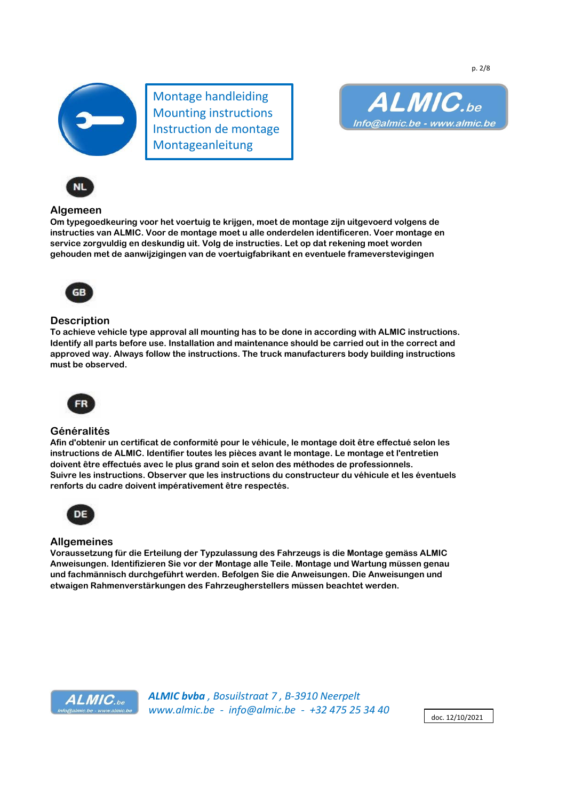

Montage handleiding Mounting instructions Instruction de montage Montageanleitung



## **Algemeen**

**Om typegoedkeuring voor het voertuig te krijgen, moet de montage zijn uitgevoerd volgens de instructies van ALMIC. Voor de montage moet u alle onderdelen identificeren. Voer montage en service zorgvuldig en deskundig uit. Volg de instructies. Let op dat rekening moet worden gehouden met de aanwijzigingen van de voertuigfabrikant en eventuele frameverstevigingen**



## **Description**

**To achieve vehicle type approval all mounting has to be done in according with ALMIC instructions. Identify all parts before use. Installation and maintenance should be carried out in the correct and approved way. Always follow the instructions. The truck manufacturers body building instructions must be observed.**



## **Généralités**

**Afin d'obtenir un certificat de conformité pour le véhicule, le montage doit être effectué selon les instructions de ALMIC. Identifier toutes les pièces avant le montage. Le montage et l'entretien doivent être effectués avec le plus grand soin et selon des méthodes de professionnels. Suivre les instructions. Observer que les instructions du constructeur du véhicule et les éventuels renforts du cadre doivent impérativement être respectés.**



## **Allgemeines**

**Voraussetzung für die Erteilung der Typzulassung des Fahrzeugs is die Montage gemäss ALMIC Anweisungen. Identifizieren Sie vor der Montage alle Teile. Montage und Wartung müssen genau und fachmännisch durchgeführt werden. Befolgen Sie die Anweisungen. Die Anweisungen und etwaigen Rahmenverstärkungen des Fahrzeugherstellers müssen beachtet werden.**



*ALMIC bvba , Bosuilstraat 7 , B-3910 Neerpelt www.almic.be - info@almic.be - +32 475 25 34 40*

doc. 12/10/2021

p. 2/8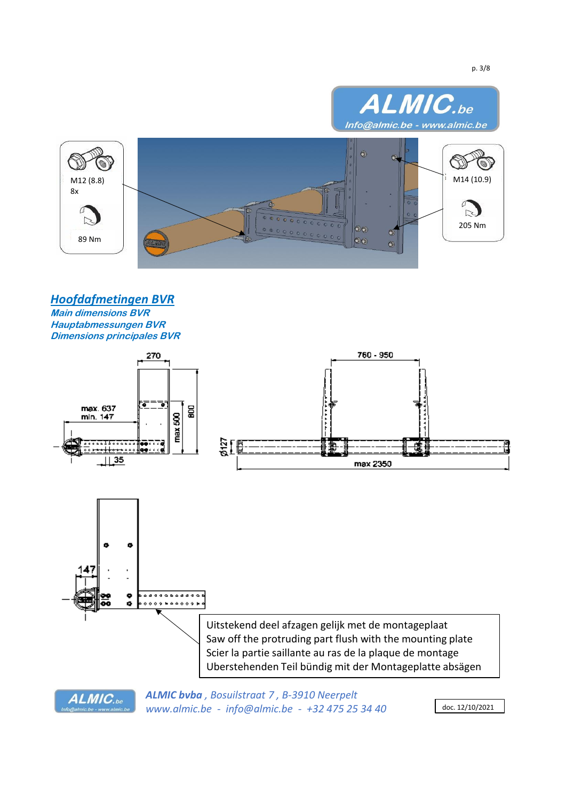

*Hoofdafmetingen BVR*

**Main dimensions BVR Hauptabmessungen BVR Dimensions principales BVR**

ALMIC.be



*ALMIC bvba , Bosuilstraat 7 , B-3910 Neerpelt www.almic.be - info@almic.be - +32 475 25 34 40* doc. 12/10/2021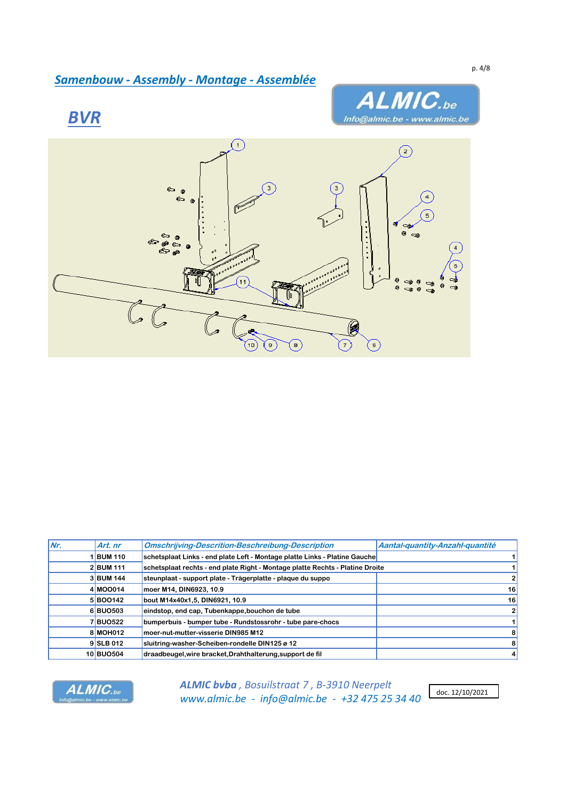# *Samenbouw - Assembly - Montage - Assemblée*







| Nr. | Art. nr   | <b>Omschrijving-Descrition-Beschreibung-Description</b>                       | Aantal-quantity-Anzahl-quantité |
|-----|-----------|-------------------------------------------------------------------------------|---------------------------------|
|     | 1BUM 110  | schetsplaat Links - end plate Left - Montage platte Links - Platine Gauche    | 1                               |
|     | 2 BUM 111 | schetsplaat rechts - end plate Right - Montage platte Rechts - Platine Droite | 1                               |
|     | 3 BUM 144 | steunplaat - support plate - Trägerplatte - plaque du suppo                   | $\mathbf{2}$                    |
|     | 4 MOO014  | moer M14, DIN6923, 10.9                                                       | 16                              |
|     | 5 BOO142  | bout M14x40x1,5, DIN6921, 10.9                                                | 16                              |
|     | 6BU0503   | eindstop, end cap, Tubenkappe, bouchon de tube                                | $\overline{2}$                  |
|     | 7BU0522   | bumperbuis - bumper tube - Rundstossrohr - tube pare-chocs                    | $\vert$                         |
|     | 8 MOH012  | moer-nut-mutter-visserie DIN985 M12                                           | 8                               |
|     | 9SLB 012  | sluitring-washer-Scheiben-rondelle DIN125 ø 12                                | 8 <sup>1</sup>                  |
|     | 10 BUO504 | draadbeugel, wire bracket, Drahthalterung, support de fil                     | $\vert$                         |



*ALMIC bvba , Bosuilstraat 7 , B-3910 Neerpelt www.almic.be - info@almic.be - +32 475 25 34 40*

doc. 12/10/2021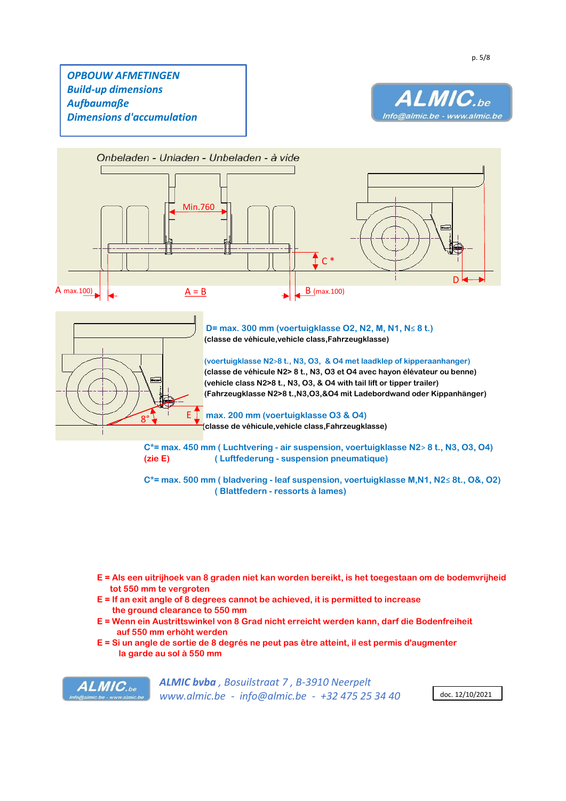# *OPBOUW AFMETINGEN Build-up dimensions Aufbaumaße Dimensions d'accumulation*





8° E

 **D= max. 300 mm (voertuigklasse O2, N2, M, N1, N**≤ **8 t.) (classe de véhicule,vehicle class,Fahrzeugklasse)**

 **(voertuigklasse N2**>**8 t., N3, O3, & O4 met laadklep of kipperaanhanger) (classe de véhicule N2> 8 t., N3, O3 et O4 avec hayon élévateur ou benne) (vehicle class N2>8 t., N3, O3, & O4 with tail lift or tipper trailer) (Fahrzeugklasse N2>8 t.,N3,O3,&O4 mit Ladebordwand oder Kippanhänger)**

 **max. 200 mm (voertuigklasse O3 & O4) (classe de véhicule,vehicle class,Fahrzeugklasse)**

**C\*= max. 450 mm ( Luchtvering - air suspension, voertuigklasse N2**> **8 t., N3, O3, O4) (zie E) ( Luftfederung - suspension pneumatique)**

**C\*= max. 500 mm ( bladvering - leaf suspension, voertuigklasse M,N1, N2**≤ **8t., O&, O2) ( Blattfedern - ressorts à lames)**

- **E = Als een uitrijhoek van 8 graden niet kan worden bereikt, is het toegestaan om de bodemvrijheid tot 550 mm te vergroten**
- **E = If an exit angle of 8 degrees cannot be achieved, it is permitted to increase the ground clearance to 550 mm**
- **E = Wenn ein Austrittswinkel von 8 Grad nicht erreicht werden kann, darf die Bodenfreiheit auf 550 mm erhöht werden**
- **E = Si un angle de sortie de 8 degrés ne peut pas être atteint, il est permis d'augmenter la garde au sol à 550 mm**

ALMIC.be

*ALMIC bvba , Bosuilstraat 7 , B-3910 Neerpelt www.almic.be - info@almic.be - +32 475 25 34 40* doc. 12/10/2021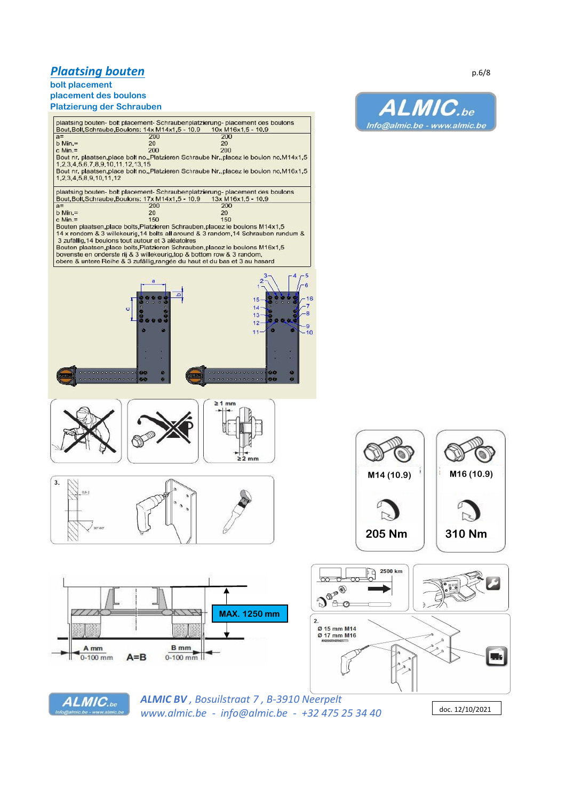## **Plaatsing bouten** p.6/8

## **bolt placement**

**placement des boulons Platzierung der Schrauben**



*www.almic.be - info@almic.be - +32 475 25 34 40* doc. 12/10/2021

We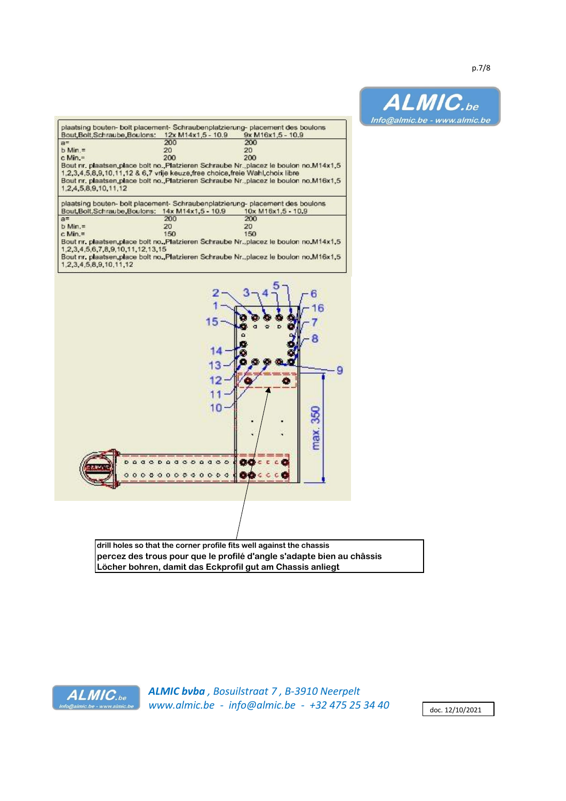

**drill holes so that the corner profile fits well against the chassis percez des trous pour que le profilé d'angle s'adapte bien au châssis Löcher bohren, damit das Eckprofil gut am Chassis anliegt**



*ALMIC bvba , Bosuilstraat 7 , B-3910 Neerpelt www.almic.be - info@almic.be - +32 475 25 34 40* doc. 12/10/2021

ALMIC.be